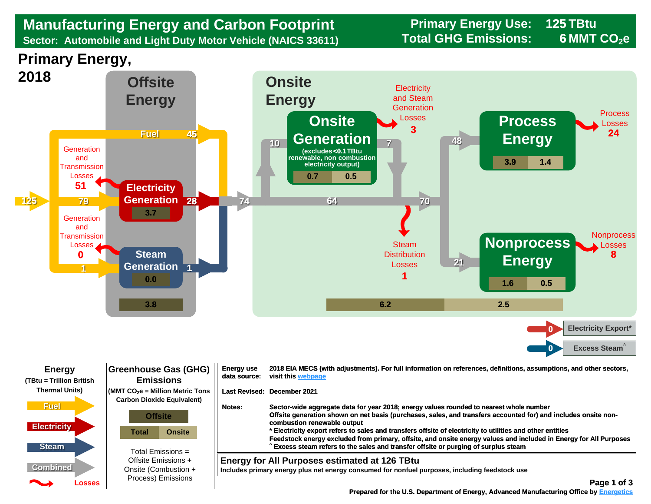## **Manufacturing Energy and Carbon Footprint Frimary Energy Use:** 125 Manufacturing Energy and Carbon Footprint<br>
Sector: Automobile and Light Duty Motor Vehicle (NAICS 33611) Total GHG Emissions: **Sector: Automobile and Light Duty Motor Vehicle (NAICS 33611)**

**125 6 MMT CO<sub>2</sub>e** 

**Primary Energy,** 



| <b>Energy</b>                                     | Greenhouse Gas (GHG)                                                                | <b>Energy use</b> | 2018 EIA MECS (with adjustments). For full information on references, definitions, assumptions, and other sectors,                                                                                                                                                                                                                                                                                                                                                                                                                                              |
|---------------------------------------------------|-------------------------------------------------------------------------------------|-------------------|-----------------------------------------------------------------------------------------------------------------------------------------------------------------------------------------------------------------------------------------------------------------------------------------------------------------------------------------------------------------------------------------------------------------------------------------------------------------------------------------------------------------------------------------------------------------|
| (TBtu = Trillion British                          | <b>Emissions</b>                                                                    | data source:      | visit this webpage                                                                                                                                                                                                                                                                                                                                                                                                                                                                                                                                              |
| <b>Thermal Units)</b>                             | $\mathsf{MMT}$ CO $_2$ e = Million Metric Tons<br><b>Carbon Dioxide Equivalent)</b> |                   | Last Revised: December 2021                                                                                                                                                                                                                                                                                                                                                                                                                                                                                                                                     |
| <b>Fuel</b><br><b>Electricity</b><br><b>Steam</b> | <b>Offsite</b><br><b>Onsite</b><br>Total<br>Total Emissions $=$                     | Notes:            | Sector-wide aggregate data for year 2018; energy values rounded to nearest whole number<br>Offsite generation shown on net basis (purchases, sales, and transfers accounted for) and includes onsite non-<br>combustion renewable output<br>* Electricity export refers to sales and transfers offsite of electricity to utilities and other entities<br>Feedstock energy excluded from primary, offsite, and onsite energy values and included in Energy for All Purposes<br>Excess steam refers to the sales and transfer offsite or purging of surplus steam |
| <b>Combined</b>                                   | Offsite Emissions +                                                                 |                   | <b>Energy for All Purposes estimated at 126 TBtu</b>                                                                                                                                                                                                                                                                                                                                                                                                                                                                                                            |
| <b>Property</b>                                   | Onsite (Combustion +                                                                |                   | Includes primary energy plus net energy consumed for nonfuel purposes, including feedstock use                                                                                                                                                                                                                                                                                                                                                                                                                                                                  |
| Losses                                            | Process) Emissions                                                                  |                   | Page 1 of 3                                                                                                                                                                                                                                                                                                                                                                                                                                                                                                                                                     |

 **[Prepared for the U.S. Department of Energy, Advanced Manufacturing Office by Energetics](https://www.energetics.com/) Manufacturing Energetics**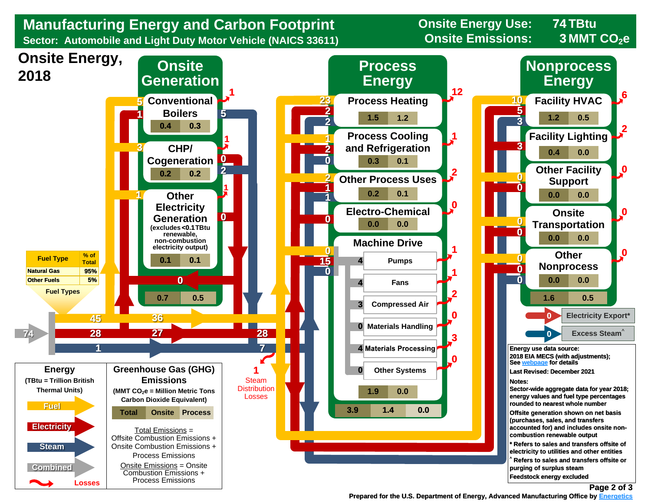